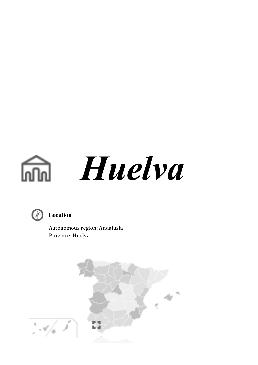# *Huelva*



### **Location**

 Autonomous region: Andalusia Province: Huelva

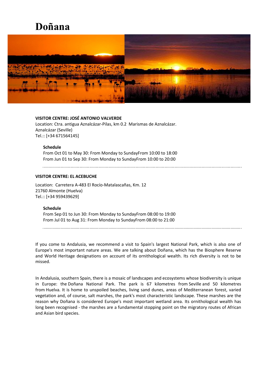## **Doñana**



#### **VISITOR CENTRE: JOSÉ ANTONIO VALVERDE**

Location: Ctra. antigua Aznalcázar-Pilas, km 0.2 Marismas de Aznalcázar. Aznalcázar (Seville) Tel.:: [+34 671564145]

#### **Schedule**

From Oct 01 to May 30: From Monday to SundayFrom 10:00 to 18:00 From Jun 01 to Sep 30: From Monday to SundayFrom 10:00 to 20:00

#### **VISITOR CENTRE: EL ACEBUCHE**

Location: Carretera A-483 El Rocío-Matalascañas, Km. 12 21760 Almonte (Huelva) Tel.:: [+34 959439629]

#### **Schedule**

From Sep 01 to Jun 30: From Monday to SundayFrom 08:00 to 19:00 From Jul 01 to Aug 31: From Monday to SundayFrom 08:00 to 21:00

If you come to Andalusia, we recommend a visit to Spain's largest National Park, which is also one of Europe's most important nature areas. We are talking about Doñana, which has the Biosphere Reserve and World Heritage designations on account of its ornithological wealth. Its rich diversity is not to be missed.

In Andalusia, southern Spain, there is a mosaic of landscapes and ecosystems whose biodiversity is unique in Europe: the Doñana National Park. The park is 67 kilometres from Seville and 50 kilometres from Huelva. It is home to unspoiled beaches, living sand dunes, areas of Mediterranean forest, varied vegetation and, of course, salt marshes, the park's most characteristic landscape. These marshes are the reason why Doñana is considered Europe's most important wetland area. Its ornithological wealth has long been recognised - the marshes are a fundamental stopping point on the migratory routes of African and Asian bird species.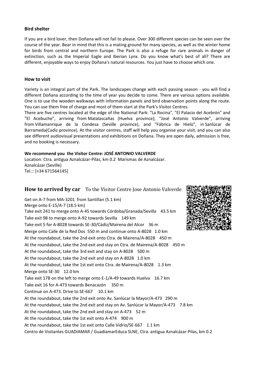#### **Bird shelter**

If you are a bird lover, then Doñana will not fail to please. Over 300 different species can be seen over the course of the year. Bear in mind that this is a mating ground for many species, as well as the winter home for birds from central and northern Europe. The Park is also a refuge for rare animals in danger of extinction, such as the Imperial Eagle and Iberian Lynx. Do you know what's best of all? There are different, enjoyable ways to enjoy Doñana's natural resources. You just have to choose which one.

#### **How to visit**

Variety is an integral part of the Park. The landscapes change with each passing season - you will find a different Doñana according to the time of year you decide to come. There are various options available. One is to use the wooden walkways with information panels and bird observation points along the route. You can use them free of charge and most of them start at the Park's Visitor Centres.

There are five centres located at the edge of the National Park: "La Rocina", "El Palacio del Acebrón" and "El Acebuche", arriving from Matalascañas (Huelva province); "José Antonio Valverde", arriving from Villamanrique de la Condesa (Seville province), and "Fábrica de Hielo", in Sanlúcar de Barrameda(Cadiz province). At the visitor centres, staff will help you organise your visit, and you can also see different audiovisual presentations and exhibitions on Doñana. They are open daily, admission is free, and no booking is necessary.

#### **We recommend you the Visitor Centre: JOSÉ ANTONIO VALVERDE**

Location: Ctra. antigua Aznalcázar-Pilas, km 0.2 Marismas de Aznalcázar. Aznalcázar (Seville) Tel.:: [+34 671564145]

#### **How to arrived by car** To the Visitor Centre Jose Antonio Valverde

Get on A-7 from MA-3201 from Santillan (5.1 km) Merge onto E-15/A-7 (18.5 km) Take exit 241 to merge onto A-45 towards Córdoba/Granada/Sevilla 43.5 km Take exit 98 to merge onto A-92 towards Sevilla 149 km Take exit 5 for A-8028 towards SE-30/Cádiz/Mairena del Alcor 36 m Merge onto Calle de la Red Dos 550 m and continue onto A-8028 1.0 km At the roundabout, take the 2nd exit onto Ctra. de Mairena/A-8028 450 m At the roundabout, take the 2nd exit and stay on Ctra. de Mairena/A-8028 450 m At the roundabout, take the 3rd exit and stay on A-8028 500 m At the roundabout, take the 2nd exit and stay on A-8028 1.0 km At the roundabout, take the 1st exit onto Ctra. de Mairena/A-8028 1.3 km Merge onto SE-30 12.0 km Take exit 17B on the left to merge onto E-1/A-49 towards Huelva 16.7 km Take exit 16 for A-473 towards Benacazón 350 m Continue on A-473. Drive to SE-667 10.1 km At the roundabout, take the 2nd exit onto Av. Sanlúcar la Mayor/A-473 290 m At the roundabout, take the 2nd exit and stay on Av. Sanlúcar la Mayor/A-473 7.8 km At the roundabout, take the 2nd exit and stay on A-473 52 m At the roundabout, take the 1st exit onto A-474 900 m At the roundabout, take the 1st exit onto Calle Vidrio/SE-667 1.1 km Centro de Visitantes GUADIAMAR / GuadiamarEduca SLNE, Ctra. antigua Aznalcázar-Pilas, km 0.2